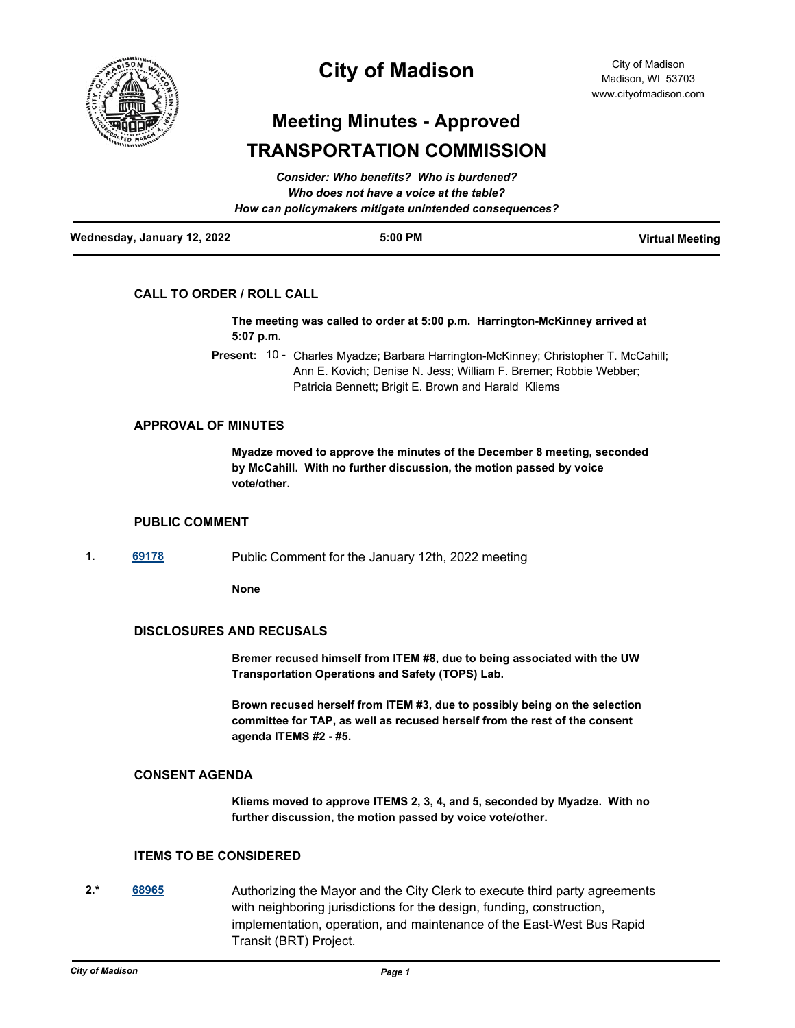

## **City of Madison**

# **Meeting Minutes - Approved TRANSPORTATION COMMISSION**

| Wednesday, January 12, 2022 | $5:00$ PM                                              | <b>Virtual Meeting</b> |
|-----------------------------|--------------------------------------------------------|------------------------|
|                             | How can policymakers mitigate unintended consequences? |                        |
|                             | Who does not have a voice at the table?                |                        |
|                             | Consider: Who benefits? Who is burdened?               |                        |

## **CALL TO ORDER / ROLL CALL**

**The meeting was called to order at 5:00 p.m. Harrington-McKinney arrived at 5:07 p.m.**

Present: 10 - Charles Myadze; Barbara Harrington-McKinney; Christopher T. McCahill; Ann E. Kovich; Denise N. Jess; William F. Bremer; Robbie Webber; Patricia Bennett; Brigit E. Brown and Harald Kliems

#### **APPROVAL OF MINUTES**

**Myadze moved to approve the minutes of the December 8 meeting, seconded by McCahill. With no further discussion, the motion passed by voice vote/other.**

## **PUBLIC COMMENT**

**1. [69178](http://madison.legistar.com/gateway.aspx?m=l&id=/matter.aspx?key=80677)** Public Comment for the January 12th, 2022 meeting

**None**

#### **DISCLOSURES AND RECUSALS**

**Bremer recused himself from ITEM #8, due to being associated with the UW Transportation Operations and Safety (TOPS) Lab.**

**Brown recused herself from ITEM #3, due to possibly being on the selection committee for TAP, as well as recused herself from the rest of the consent agenda ITEMS #2 - #5.**

#### **CONSENT AGENDA**

**Kliems moved to approve ITEMS 2, 3, 4, and 5, seconded by Myadze. With no further discussion, the motion passed by voice vote/other.**

## **ITEMS TO BE CONSIDERED**

**2.\* [68965](http://madison.legistar.com/gateway.aspx?m=l&id=/matter.aspx?key=80509)** Authorizing the Mayor and the City Clerk to execute third party agreements with neighboring jurisdictions for the design, funding, construction, implementation, operation, and maintenance of the East-West Bus Rapid Transit (BRT) Project.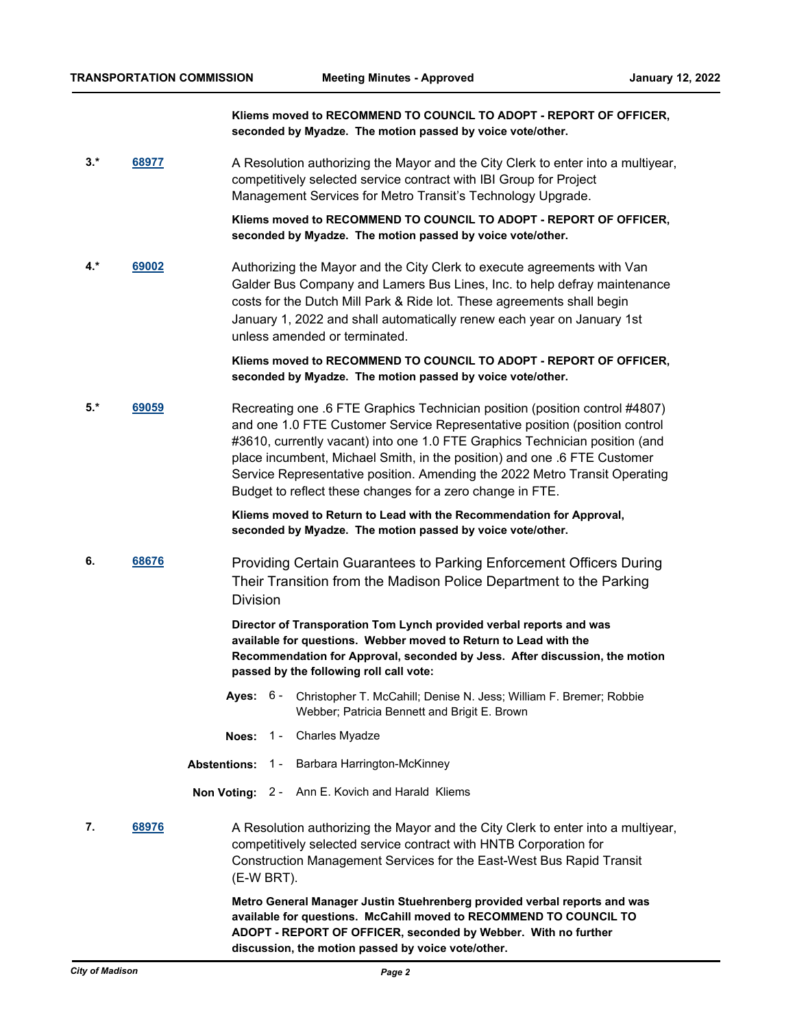**Kliems moved to RECOMMEND TO COUNCIL TO ADOPT - REPORT OF OFFICER, seconded by Myadze. The motion passed by voice vote/other.**

3.\* [68977](http://madison.legistar.com/gateway.aspx?m=l&id=/matter.aspx?key=80518) **A Resolution authorizing the Mayor and the City Clerk to enter into a multiyear,** competitively selected service contract with IBI Group for Project Management Services for Metro Transit's Technology Upgrade.

> **Kliems moved to RECOMMEND TO COUNCIL TO ADOPT - REPORT OF OFFICER, seconded by Myadze. The motion passed by voice vote/other.**

**4.\* [69002](http://madison.legistar.com/gateway.aspx?m=l&id=/matter.aspx?key=80543)** Authorizing the Mayor and the City Clerk to execute agreements with Van Galder Bus Company and Lamers Bus Lines, Inc. to help defray maintenance costs for the Dutch Mill Park & Ride lot. These agreements shall begin January 1, 2022 and shall automatically renew each year on January 1st unless amended or terminated.

> **Kliems moved to RECOMMEND TO COUNCIL TO ADOPT - REPORT OF OFFICER, seconded by Myadze. The motion passed by voice vote/other.**

**5.\* [69059](http://madison.legistar.com/gateway.aspx?m=l&id=/matter.aspx?key=80577)** Recreating one .6 FTE Graphics Technician position (position control #4807) and one 1.0 FTE Customer Service Representative position (position control #3610, currently vacant) into one 1.0 FTE Graphics Technician position (and place incumbent, Michael Smith, in the position) and one .6 FTE Customer Service Representative position. Amending the 2022 Metro Transit Operating Budget to reflect these changes for a zero change in FTE.

> **Kliems moved to Return to Lead with the Recommendation for Approval, seconded by Myadze. The motion passed by voice vote/other.**

**6. [68676](http://madison.legistar.com/gateway.aspx?m=l&id=/matter.aspx?key=80291)** Providing Certain Guarantees to Parking Enforcement Officers During Their Transition from the Madison Police Department to the Parking Division

> **Director of Transporation Tom Lynch provided verbal reports and was available for questions. Webber moved to Return to Lead with the Recommendation for Approval, seconded by Jess. After discussion, the motion passed by the following roll call vote:**

- **Ayes:** Christopher T. McCahill; Denise N. Jess; William F. Bremer; Robbie Webber; Patricia Bennett and Brigit E. Brown Aves: 6 -
- **Noes:** 1 Charles Myadze
- **Abstentions:** 1 Barbara Harrington-McKinney
- **Non Voting:** 2 Ann E. Kovich and Harald Kliems
- **7.** [68976](http://madison.legistar.com/gateway.aspx?m=l&id=/matter.aspx?key=80517) A Resolution authorizing the Mayor and the City Clerk to enter into a multiyear, competitively selected service contract with HNTB Corporation for Construction Management Services for the East-West Bus Rapid Transit (E-W BRT). **Metro General Manager Justin Stuehrenberg provided verbal reports and was**

**available for questions. McCahill moved to RECOMMEND TO COUNCIL TO ADOPT - REPORT OF OFFICER, seconded by Webber. With no further discussion, the motion passed by voice vote/other.**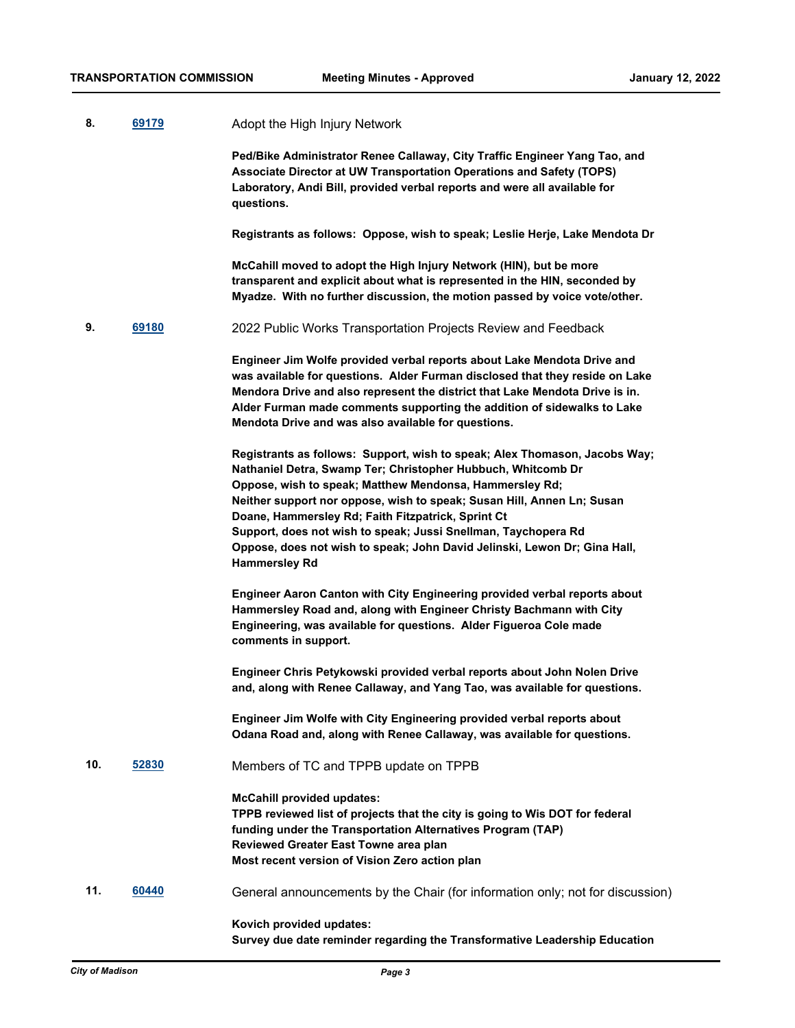| 8.  | 69179 | Adopt the High Injury Network                                                                                                                                                                                                                                                                                                                                                                                                                                                                                |
|-----|-------|--------------------------------------------------------------------------------------------------------------------------------------------------------------------------------------------------------------------------------------------------------------------------------------------------------------------------------------------------------------------------------------------------------------------------------------------------------------------------------------------------------------|
|     |       | Ped/Bike Administrator Renee Callaway, City Traffic Engineer Yang Tao, and<br>Associate Director at UW Transportation Operations and Safety (TOPS)<br>Laboratory, Andi Bill, provided verbal reports and were all available for<br>questions.                                                                                                                                                                                                                                                                |
|     |       | Registrants as follows: Oppose, wish to speak; Leslie Herje, Lake Mendota Dr                                                                                                                                                                                                                                                                                                                                                                                                                                 |
|     |       | McCahill moved to adopt the High Injury Network (HIN), but be more<br>transparent and explicit about what is represented in the HIN, seconded by<br>Myadze. With no further discussion, the motion passed by voice vote/other.                                                                                                                                                                                                                                                                               |
| 9.  | 69180 | 2022 Public Works Transportation Projects Review and Feedback                                                                                                                                                                                                                                                                                                                                                                                                                                                |
|     |       | Engineer Jim Wolfe provided verbal reports about Lake Mendota Drive and<br>was available for questions. Alder Furman disclosed that they reside on Lake<br>Mendora Drive and also represent the district that Lake Mendota Drive is in.<br>Alder Furman made comments supporting the addition of sidewalks to Lake<br>Mendota Drive and was also available for questions.                                                                                                                                    |
|     |       | Registrants as follows: Support, wish to speak; Alex Thomason, Jacobs Way;<br>Nathaniel Detra, Swamp Ter; Christopher Hubbuch, Whitcomb Dr<br>Oppose, wish to speak; Matthew Mendonsa, Hammersley Rd;<br>Neither support nor oppose, wish to speak; Susan Hill, Annen Ln; Susan<br>Doane, Hammersley Rd; Faith Fitzpatrick, Sprint Ct<br>Support, does not wish to speak; Jussi Snellman, Taychopera Rd<br>Oppose, does not wish to speak; John David Jelinski, Lewon Dr; Gina Hall,<br><b>Hammersley Rd</b> |
|     |       | Engineer Aaron Canton with City Engineering provided verbal reports about<br>Hammersley Road and, along with Engineer Christy Bachmann with City<br>Engineering, was available for questions. Alder Figueroa Cole made<br>comments in support.                                                                                                                                                                                                                                                               |
|     |       | Engineer Chris Petykowski provided verbal reports about John Nolen Drive<br>and, along with Renee Callaway, and Yang Tao, was available for questions.                                                                                                                                                                                                                                                                                                                                                       |
|     |       | Engineer Jim Wolfe with City Engineering provided verbal reports about<br>Odana Road and, along with Renee Callaway, was available for questions.                                                                                                                                                                                                                                                                                                                                                            |
| 10. | 52830 | Members of TC and TPPB update on TPPB                                                                                                                                                                                                                                                                                                                                                                                                                                                                        |
|     |       | <b>McCahill provided updates:</b><br>TPPB reviewed list of projects that the city is going to Wis DOT for federal<br>funding under the Transportation Alternatives Program (TAP)<br>Reviewed Greater East Towne area plan<br>Most recent version of Vision Zero action plan                                                                                                                                                                                                                                  |
| 11. | 60440 | General announcements by the Chair (for information only; not for discussion)                                                                                                                                                                                                                                                                                                                                                                                                                                |
|     |       | Kovich provided updates:                                                                                                                                                                                                                                                                                                                                                                                                                                                                                     |

**Survey due date reminder regarding the Transformative Leadership Education**